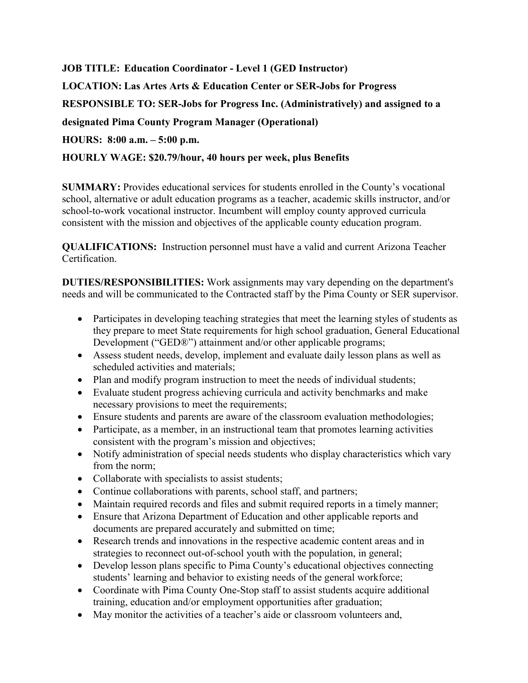**JOB TITLE: Education Coordinator - Level 1 (GED Instructor) LOCATION: Las Artes Arts & Education Center or SER-Jobs for Progress RESPONSIBLE TO: SER-Jobs for Progress Inc. (Administratively) and assigned to a designated Pima County Program Manager (Operational) HOURS: 8:00 a.m. – 5:00 p.m.**

## **HOURLY WAGE: \$20.79/hour, 40 hours per week, plus Benefits**

**SUMMARY:** Provides educational services for students enrolled in the County's vocational school, alternative or adult education programs as a teacher, academic skills instructor, and/or school-to-work vocational instructor. Incumbent will employ county approved curricula consistent with the mission and objectives of the applicable county education program.

**QUALIFICATIONS:** Instruction personnel must have a valid and current Arizona Teacher Certification.

**DUTIES/RESPONSIBILITIES:** Work assignments may vary depending on the department's needs and will be communicated to the Contracted staff by the Pima County or SER supervisor.

- Participates in developing teaching strategies that meet the learning styles of students as they prepare to meet State requirements for high school graduation, General Educational Development ("GED®") attainment and/or other applicable programs;
- Assess student needs, develop, implement and evaluate daily lesson plans as well as scheduled activities and materials;
- Plan and modify program instruction to meet the needs of individual students;
- Evaluate student progress achieving curricula and activity benchmarks and make necessary provisions to meet the requirements;
- Ensure students and parents are aware of the classroom evaluation methodologies;
- Participate, as a member, in an instructional team that promotes learning activities consistent with the program's mission and objectives;
- Notify administration of special needs students who display characteristics which vary from the norm;
- Collaborate with specialists to assist students;
- Continue collaborations with parents, school staff, and partners;
- Maintain required records and files and submit required reports in a timely manner;
- Ensure that Arizona Department of Education and other applicable reports and documents are prepared accurately and submitted on time;
- Research trends and innovations in the respective academic content areas and in strategies to reconnect out-of-school youth with the population, in general;
- Develop lesson plans specific to Pima County's educational objectives connecting students' learning and behavior to existing needs of the general workforce;
- Coordinate with Pima County One-Stop staff to assist students acquire additional training, education and/or employment opportunities after graduation;
- May monitor the activities of a teacher's aide or classroom volunteers and,